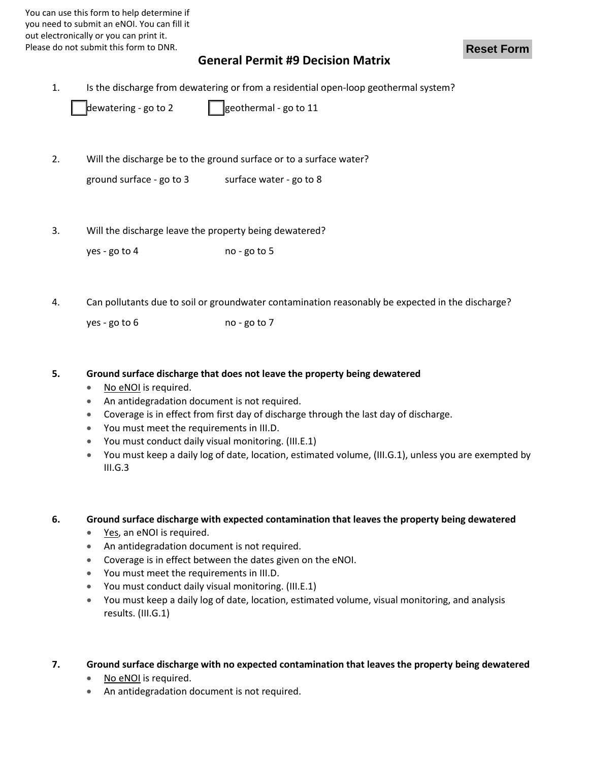You can use this form to help determine if you need to submit an eNOI. You can fill it out electronically or you can print it. Please do not submit this form to DNR.

### **Reset Form**

# **General Permit #9 Decision Matrix**

1. Is the discharge from dewatering or from a residential open-loop geothermal system?

| dewatering - go to 2 | geothermal - go to 11 |
|----------------------|-----------------------|
|                      |                       |

2. Will the discharge be to the ground surface or to a surface water?

| $\left $ ground surface - go to 3 | surface water - go to 8 |
|-----------------------------------|-------------------------|
|-----------------------------------|-------------------------|

3. Will the discharge leave the property being dewatered?

 $yes - go to 4$   $|$   $|no - go to 5$ 

4. Can pollutants due to soil or groundwater contamination reasonably be expected in the discharge?

 $yes - go to 6$  no - go to 7

#### **5. Ground surface discharge that does not leave the property being dewatered**

- No eNOI is required.
- An antidegradation document is not required.
- Coverage is in effect from first day of discharge through the last day of discharge.
- You must meet the requirements in III.D.
- You must conduct daily visual monitoring. (III.E.1)
- You must keep a daily log of date, location, estimated volume, (III.G.1), unless you are exempted by  $III.G.3$

## **6. Ground surface discharge with expected contamination that leaves the property being dewatered**

- Yes, an eNOI is required.
- An antidegradation document is not required.
- Coverage is in effect between the dates given on the eNOI.
- You must meet the requirements in III.D.
- You must conduct daily visual monitoring. (III.E.1)
- You must keep a daily log of date, location, estimated volume, visual monitoring, and analysis results. (III.G.1)
- **7. Ground surface discharge with no expected contamination that leaves the property being dewatered**
	- No eNOI is required.
	- An antidegradation document is not required.